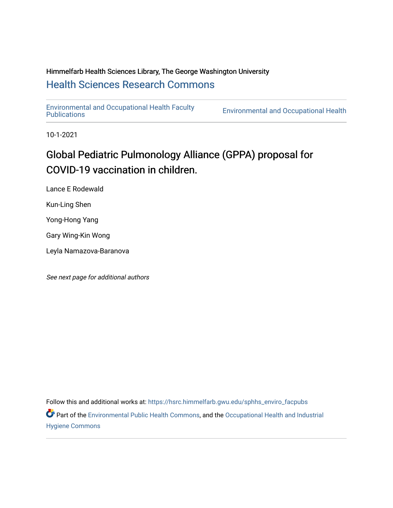# Himmelfarb Health Sciences Library, The George Washington University [Health Sciences Research Commons](https://hsrc.himmelfarb.gwu.edu/)

[Environmental and Occupational Health Faculty](https://hsrc.himmelfarb.gwu.edu/sphhs_enviro_facpubs) 

**Environmental and Occupational Health** 

10-1-2021

# Global Pediatric Pulmonology Alliance (GPPA) proposal for COVID-19 vaccination in children.

Lance E Rodewald

Kun-Ling Shen

Yong-Hong Yang

Gary Wing-Kin Wong

Leyla Namazova-Baranova

See next page for additional authors

Follow this and additional works at: [https://hsrc.himmelfarb.gwu.edu/sphhs\\_enviro\\_facpubs](https://hsrc.himmelfarb.gwu.edu/sphhs_enviro_facpubs?utm_source=hsrc.himmelfarb.gwu.edu%2Fsphhs_enviro_facpubs%2F586&utm_medium=PDF&utm_campaign=PDFCoverPages) 

Part of the [Environmental Public Health Commons](http://network.bepress.com/hgg/discipline/739?utm_source=hsrc.himmelfarb.gwu.edu%2Fsphhs_enviro_facpubs%2F586&utm_medium=PDF&utm_campaign=PDFCoverPages), and the [Occupational Health and Industrial](http://network.bepress.com/hgg/discipline/742?utm_source=hsrc.himmelfarb.gwu.edu%2Fsphhs_enviro_facpubs%2F586&utm_medium=PDF&utm_campaign=PDFCoverPages) [Hygiene Commons](http://network.bepress.com/hgg/discipline/742?utm_source=hsrc.himmelfarb.gwu.edu%2Fsphhs_enviro_facpubs%2F586&utm_medium=PDF&utm_campaign=PDFCoverPages)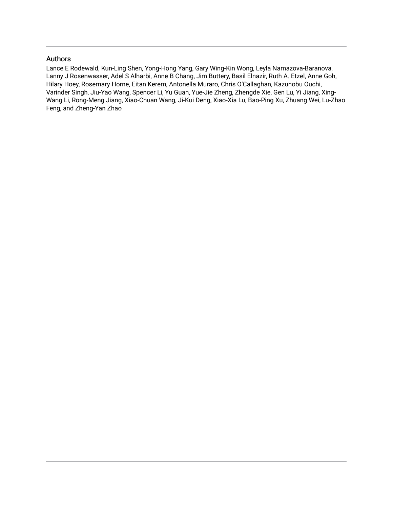## Authors

Lance E Rodewald, Kun-Ling Shen, Yong-Hong Yang, Gary Wing-Kin Wong, Leyla Namazova-Baranova, Lanny J Rosenwasser, Adel S Alharbi, Anne B Chang, Jim Buttery, Basil Elnazir, Ruth A. Etzel, Anne Goh, Hilary Hoey, Rosemary Horne, Eitan Kerem, Antonella Muraro, Chris O'Callaghan, Kazunobu Ouchi, Varinder Singh, Jiu-Yao Wang, Spencer Li, Yu Guan, Yue-Jie Zheng, Zhengde Xie, Gen Lu, Yi Jiang, Xing-Wang Li, Rong-Meng Jiang, Xiao-Chuan Wang, Ji-Kui Deng, Xiao-Xia Lu, Bao-Ping Xu, Zhuang Wei, Lu-Zhao Feng, and Zheng-Yan Zhao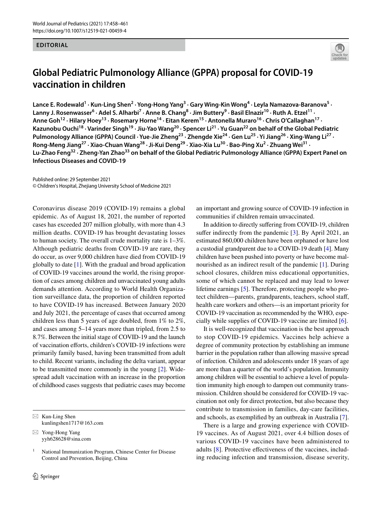#### **EDITORIAL**



## **Global Pediatric Pulmonology Alliance (GPPA) proposal for COVID‑19 vaccination in children**

Lance E. Rodewald<sup>1</sup> · Kun-Ling Shen<sup>2</sup> · Yong-Hong Yang<sup>3</sup> · Gary Wing-Kin Wong<sup>4</sup> · Leyla Namazova-Baranova<sup>5</sup> · Lanny J. Rosenwasser<sup>6</sup> · Adel S. Alharbi<sup>7</sup> · Anne B. Chang<sup>8</sup> · Jim Buttery<sup>9</sup> · Basil Elnazir<sup>10</sup> · Ruth A. Etzel<sup>11</sup> · Anne Goh<sup>12</sup> · Hilary Hoey<sup>13</sup> · Rosemary Horne<sup>14</sup> · Eitan Kerem<sup>15</sup> · Antonella Muraro<sup>16</sup> · Chris O'Callaghan<sup>17</sup> · **Kazunobu Ouchi18 · Varinder Singh19 · Jiu‑Yao Wang20 · Spencer Li21 · Yu Guan22 on behalf of the Global Pediatric**  Pulmonology Alliance (GPPA) Council · Yue-Jie Zheng<sup>23</sup> · Zhengde Xie<sup>24</sup> · Gen Lu<sup>25</sup> · Yi Jiang<sup>26</sup> · Xing-Wang Li<sup>27</sup> · Rong-Meng Jiang<sup>27</sup> · Xiao-Chuan Wang<sup>28</sup> · Ji-Kui Deng<sup>29</sup> · Xiao-Xia Lu<sup>30</sup> · Bao-Ping Xu<sup>2</sup> · Zhuang Wei<sup>31</sup> · **Lu‑Zhao Feng32 · Zheng‑Yan Zhao33 on behalf of the Global Pediatric Pulmonology Alliance (GPPA) Expert Panel on Infectious Diseases and COVID-19**

Published online: 29 September 2021 © Children's Hospital, Zhejiang University School of Medicine 2021

Coronavirus disease 2019 (COVID-19) remains a global epidemic. As of August 18, 2021, the number of reported cases has exceeded 207 million globally, with more than 4.3 million deaths. COVID-19 has brought devastating losses to human society. The overall crude mortality rate is 1–3%. Although pediatric deaths from COVID-19 are rare, they do occur, as over 9,000 children have died from COVID-19 globally to date  $[1]$  $[1]$ . With the gradual and broad application of COVID-19 vaccines around the world, the rising proportion of cases among children and unvaccinated young adults demands attention. According to World Health Organization surveillance data, the proportion of children reported to have COVID-19 has increased. Between January 2020 and July 2021, the percentage of cases that occurred among children less than 5 years of age doubled, from 1% to 2%, and cases among 5–14 years more than tripled, from 2.5 to 8.7%. Between the initial stage of COVID-19 and the launch of vaccination eforts, children's COVID-19 infections were primarily family based, having been transmitted from adult to child. Recent variants, including the delta variant, appear to be transmitted more commonly in the young  $[2]$  $[2]$ . Wide– spread adult vaccination with an increase in the proportion of childhood cases suggests that pediatric cases may become

 $\boxtimes$  Kun-Ling Shen kunlingshen1717@163.com

 $\boxtimes$  Yong-Hong Yang yyh628628@sina.com an important and growing source of COVID-19 infection in communities if children remain unvaccinated.

In addition to directly sufering from COVID-19, children suffer indirectly from the pandemic  $[3]$ . By April 2021, an estimated 860,000 children have been orphaned or have lost a custodial grandparent due to a COVID-19 death [\[4](#page-4-3)]. Many children have been pushed into poverty or have become malnourished as an indirect result of the pandemic [[1\]](#page-4-0). During school closures, children miss educational opportunities, some of which cannot be replaced and may lead to lower lifetime earnings  $[5]$  $[5]$ . Therefore, protecting people who protect children—parents, grandparents, teachers, school staf, health care workers and others—is an important priority for COVID-19 vaccination as recommended by the WHO, especially while supplies of COVID-19 vaccine are limited [\[6](#page-4-5)].

It is well-recognized that vaccination is the best approach to stop COVID-19 epidemics. Vaccines help achieve a degree of community protection by establishing an immune barrier in the population rather than allowing massive spread of infection. Children and adolescents under 18 years of age are more than a quarter of the world's population. Immunity among children will be essential to achieve a level of population immunity high enough to dampen out community trans‑ mission. Children should be considered for COVID-19 vaccination not only for direct protection, but also because they contribute to transmission in families, day-care facilities, and schools, as exemplifed by an outbreak in Australia [\[7](#page-4-6)].

There is a large and growing experience with COVID-19 vaccines. As of August 2021, over 4.4 billion doses of various COVID-19 vaccines have been administered to adults  $[8]$  $[8]$ . Protective effectiveness of the vaccines, including reducing infection and transmission, disease severity,

<sup>&</sup>lt;sup>1</sup> National Immunization Program, Chinese Center for Disease Control and Prevention, Beijing, China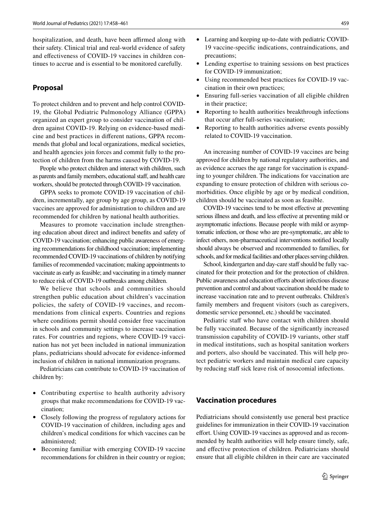hospitalization, and death, have been affirmed along with their safety. Clinical trial and real-world evidence of safety and effectiveness of COVID-19 vaccines in children continues to accrue and is essential to be monitored carefully.

#### **Proposal**

To protect children and to prevent and help control COVID-19, the Global Pediatric Pulmonology Alliance (GPPA) organized an expert group to consider vaccination of chil‑ dren against COVID-19. Relying on evidence-based medicine and best practices in different nations, GPPA recommends that global and local organizations, medical societies, and health agencies join forces and commit fully to the protection of children from the harms caused by COVID-19.

People who protect children and interact with children, such as parents and family members, educational staff, and health care workers, should be protected through COVID-19 vaccination.

GPPA seeks to promote COVID-19 vaccination of children, incrementally, age group by age group, as COVID-19 vaccines are approved for administration to children and are recommended for children by national health authorities.

Measures to promote vaccination include strengthening education about direct and indirect benefts and safety of COVID-19 vaccination; enhancing public awareness of emerging recommendations for childhood vaccination; implementing recommended COVID-19 vaccinations of children by notifying families of recommended vaccination; making appointments to vaccinate as early as feasible; and vaccinating in a timely manner to reduce risk of COVID-19 outbreaks among children.

We believe that schools and communities should strengthen public education about children's vaccination policies, the safety of COVID-19 vaccines, and recommendations from clinical experts. Countries and regions where conditions permit should consider free vaccination in schools and community settings to increase vaccination rates. For countries and regions, where COVID-19 vaccination has not yet been included in national immunization plans, pediatricians should advocate for evidence-informed inclusion of children in national immunization programs.

Pediatricians can contribute to COVID-19 vaccination of children by:

- Contributing expertise to health authority advisory groups that make recommendations for COVID-19 vaccination;
- Closely following the progress of regulatory actions for COVID-19 vaccination of children, including ages and children's medical conditions for which vaccines can be administered;
- Becoming familiar with emerging COVID-19 vaccine recommendations for children in their country or region;
- Learning and keeping up-to-date with pediatric COVID-19 vaccine-specifc indications, contraindications, and precautions;
- Lending expertise to training sessions on best practices for COVID-19 immunization;
- Using recommended best practices for COVID-19 vaccination in their own practices;
- Ensuring full-series vaccination of all eligible children in their practice;
- Reporting to health authorities breakthrough infections that occur after full-series vaccination;
- Reporting to health authorities adverse events possibly related to COVID-19 vaccination.

An increasing number of COVID-19 vaccines are being approved for children by national regulatory authorities, and as evidence accrues the age range for vaccination is expanding to younger children. The indications for vaccination are expanding to ensure protection of children with serious comorbidities. Once eligible by age or by medical condition, children should be vaccinated as soon as feasible.

COVID-19 vaccines tend to be most efective at preventing serious illness and death, and less efective at preventing mild or asymptomatic infections. Because people with mild or asymptomatic infection, or those who are pre-symptomatic, are able to infect others, non-pharmaceutical interventions notifed locally should always be observed and recommended to families, for schools, and for medical facilities and other places serving children.

School, kindergarten and day-care staff should be fully vaccinated for their protection and for the protection of children. Public awareness and education efforts about infectious disease prevention and control and about vaccination should be made to increase vaccination rate and to prevent outbreaks. Children's family members and frequent visitors (such as caregivers, domestic service personnel, etc.) should be vaccinated.

Pediatric staff who have contact with children should be fully vaccinated. Because of the signifcantly increased transmission capability of COVID-19 variants, other staf in medical institutions, such as hospital sanitation workers and porters, also should be vaccinated. This will help protect pediatric workers and maintain medical care capacity by reducing staff sick leave risk of nosocomial infections.

#### **Vaccination procedures**

Pediatricians should consistently use general best practice guidelines for immunization in their COVID-19 vaccination effort. Using COVID-19 vaccines as approved and as recommended by health authorities will help ensure timely, safe, and efective protection of children. Pediatricians should ensure that all eligible children in their care are vaccinated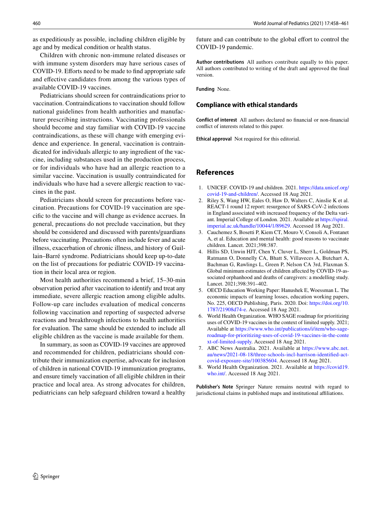as expeditiously as possible, including children eligible by age and by medical condition or health status.

Children with chronic non-immune related diseases or with immune system disorders may have serious cases of COVID-19. Efforts need to be made to find appropriate safe and efective candidates from among the various types of available COVID-19 vaccines.

Pediatricians should screen for contraindications prior to vaccination. Contraindications to vaccination should follow national guidelines from health authorities and manufacturer prescribing instructions. Vaccinating professionals should become and stay familiar with COVID-19 vaccine contraindications, as these will change with emerging evidence and experience. In general, vaccination is contraindicated for individuals allergic to any ingredient of the vaccine, including substances used in the production process, or for individuals who have had an allergic reaction to a similar vaccine. Vaccination is usually contraindicated for individuals who have had a severe allergic reaction to vaccines in the past.

Pediatricians should screen for precautions before vaccination. Precautions for COVID-19 vaccination are specifc to the vaccine and will change as evidence accrues. In general, precautions do not preclude vaccination, but they should be considered and discussed with parents/guardians before vaccinating. Precautions often include fever and acute illness, exacerbation of chronic illness, and history of Guillain–Barré syndrome. Pediatricians should keep up-to-date on the list of precautions for pediatric COVID-19 vaccination in their local area or region.

Most health authorities recommend a brief, 15–30-min observation period after vaccination to identify and treat any immediate, severe allergic reaction among eligible adults. Follow-up care includes evaluation of medical concerns following vaccination and reporting of suspected adverse reactions and breakthrough infections to health authorities for evaluation. The same should be extended to include all eligible children as the vaccine is made available for them.

In summary, as soon as COVID-19 vaccines are approved and recommended for children, pediatricians should contribute their immunization expertise, advocate for inclusion of children in national COVID-19 immunization programs, and ensure timely vaccination of all eligible children in their practice and local area. As strong advocates for children, pediatricians can help safeguard children toward a healthy future and can contribute to the global effort to control the COVID-19 pandemic.

**Author contributions** All authors contribute equally to this paper. All authors contributed to writing of the draft and approved the fnal version.

**Funding** None.

#### **Compliance with ethical standards**

**Conflict of interest** All authors declared no fnancial or non-fnancial confict of interests related to this paper.

**Ethical approval** Not required for this editorial.

#### **References**

- <span id="page-4-0"></span>1. UNICEF. COVID-19 and children. 2021. [https://data.unicef.org/](https://data.unicef.org/covid-19-and-children/) [covid-19-and-children/](https://data.unicef.org/covid-19-and-children/). Accessed 18 Aug 2021.
- <span id="page-4-1"></span>2. Riley S, Wang HW, Eales O, Haw D, Walters C, Ainslie K et al. REACT-1 round 12 report: resurgence of SARS-CoV-2 infections in England associated with increased frequency of the Delta variant. Imperial College of London. 2021. Available at [https://spiral.](https://spiral.imperial.ac.uk/handle/10044/1/89629) [imperial.ac.uk/handle/10044/1/89629](https://spiral.imperial.ac.uk/handle/10044/1/89629). Accessed 18 Aug 2021.
- <span id="page-4-2"></span>3. Cauchemez S, Bosetti P, Kiem CT, Mouro V, Consoli A, Fontanet A, et al. Education and mental health: good reasons to vaccinate children. Lancet. 2021;398:387.
- <span id="page-4-3"></span>4. Hillis SD, Unwin HJT, Chen Y, Cluver L, Sherr L, Goldman PS, Ratmann O, Donnelly CA, Bhatt S, Villaveces A, Butchart A, Bachman G, Rawlings L, Green P, Nelson CA 3rd, Flaxman S. Global minimum estimates of children affected by COVID-19-associated orphanhood and deaths of caregivers: a modelling study. Lancet. 2021;398:391–402.
- <span id="page-4-4"></span>5. OECD Education Working Paper: Hanushek E, Woessman L. The economic impacts of learning losses, education working papers, No. 225, OECD Publishing, Paris. 2020. Doi: [https://doi.org/10.](https://doi.org/10.1787/21908d74-e) [1787/21908d74-e.](https://doi.org/10.1787/21908d74-e) Accessed 18 Aug 2021.
- <span id="page-4-5"></span>6. World Health Organization. WHO SAGE roadmap for prioritizing uses of COVID-19 vaccines in the context of limited supply. 2021; Available at [https://www.who.int/publications/i/item/who-sage](https://www.who.int/publications/i/item/who-sage-roadmap-for-prioritizing-uses-of-covid-19-vaccines-in-the-context-of-limited-supply) [roadmap-for-prioritizing-uses-of-covid-19-vaccines-in-the-conte](https://www.who.int/publications/i/item/who-sage-roadmap-for-prioritizing-uses-of-covid-19-vaccines-in-the-context-of-limited-supply) [xt-of-limited-supply](https://www.who.int/publications/i/item/who-sage-roadmap-for-prioritizing-uses-of-covid-19-vaccines-in-the-context-of-limited-supply). Accessed 18 Aug 2021.
- <span id="page-4-6"></span>7. ABC News Australia. 2021. Available at [https://www.abc.net.](https://www.abc.net.au/news/2021-08-18/three-schools-incl-harrison-identified-act-covid-exposure-site/100385604) [au/news/2021-08-18/three-schools-incl-harrison-identifed-act](https://www.abc.net.au/news/2021-08-18/three-schools-incl-harrison-identified-act-covid-exposure-site/100385604) [covid-exposure-site/100385604.](https://www.abc.net.au/news/2021-08-18/three-schools-incl-harrison-identified-act-covid-exposure-site/100385604) Accessed 18 Aug 2021.
- <span id="page-4-7"></span>8. World Health Organization. 2021. Available at [https://covid19.](https://covid19.who.int/) [who.int/.](https://covid19.who.int/) Accessed 18 Aug 2021.

**Publisher's Note** Springer Nature remains neutral with regard to jurisdictional claims in published maps and institutional afliations.